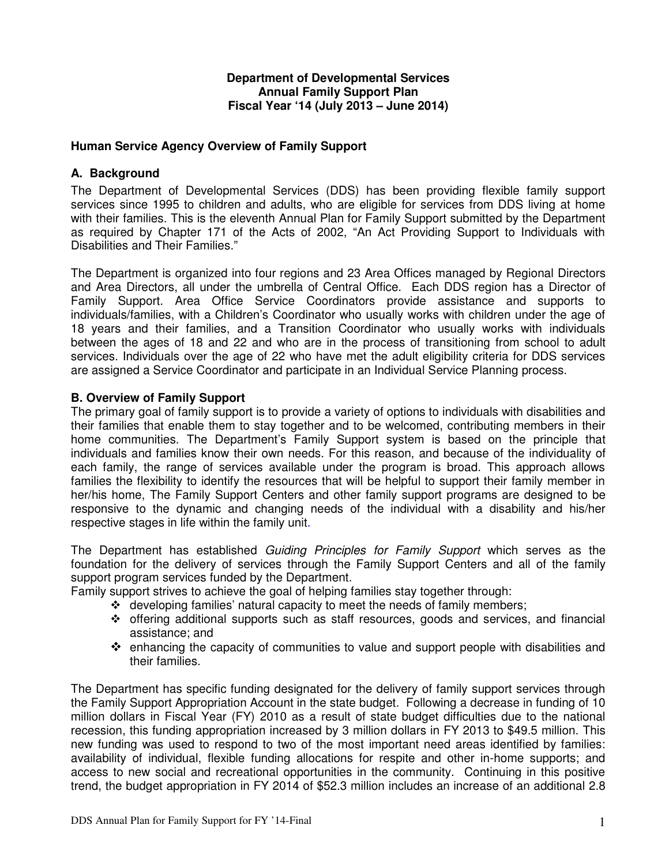### **Department of Developmental Services Annual Family Support Plan Fiscal Year '14 (July 2013 – June 2014)**

# **Human Service Agency Overview of Family Support**

# **A. Background**

The Department of Developmental Services (DDS) has been providing flexible family support services since 1995 to children and adults, who are eligible for services from DDS living at home with their families. This is the eleventh Annual Plan for Family Support submitted by the Department as required by Chapter 171 of the Acts of 2002, "An Act Providing Support to Individuals with Disabilities and Their Families."

The Department is organized into four regions and 23 Area Offices managed by Regional Directors and Area Directors, all under the umbrella of Central Office. Each DDS region has a Director of Family Support. Area Office Service Coordinators provide assistance and supports to individuals/families, with a Children's Coordinator who usually works with children under the age of 18 years and their families, and a Transition Coordinator who usually works with individuals between the ages of 18 and 22 and who are in the process of transitioning from school to adult services. Individuals over the age of 22 who have met the adult eligibility criteria for DDS services are assigned a Service Coordinator and participate in an Individual Service Planning process.

## **B. Overview of Family Support**

The primary goal of family support is to provide a variety of options to individuals with disabilities and their families that enable them to stay together and to be welcomed, contributing members in their home communities. The Department's Family Support system is based on the principle that individuals and families know their own needs. For this reason, and because of the individuality of each family, the range of services available under the program is broad. This approach allows families the flexibility to identify the resources that will be helpful to support their family member in her/his home, The Family Support Centers and other family support programs are designed to be responsive to the dynamic and changing needs of the individual with a disability and his/her respective stages in life within the family unit.

The Department has established Guiding Principles for Family Support which serves as the foundation for the delivery of services through the Family Support Centers and all of the family support program services funded by the Department.

Family support strives to achieve the goal of helping families stay together through:

- $\div$  developing families' natural capacity to meet the needs of family members;
- \* offering additional supports such as staff resources, goods and services, and financial assistance; and
- $\div$  enhancing the capacity of communities to value and support people with disabilities and their families.

The Department has specific funding designated for the delivery of family support services through the Family Support Appropriation Account in the state budget. Following a decrease in funding of 10 million dollars in Fiscal Year (FY) 2010 as a result of state budget difficulties due to the national recession, this funding appropriation increased by 3 million dollars in FY 2013 to \$49.5 million. This new funding was used to respond to two of the most important need areas identified by families: availability of individual, flexible funding allocations for respite and other in-home supports; and access to new social and recreational opportunities in the community. Continuing in this positive trend, the budget appropriation in FY 2014 of \$52.3 million includes an increase of an additional 2.8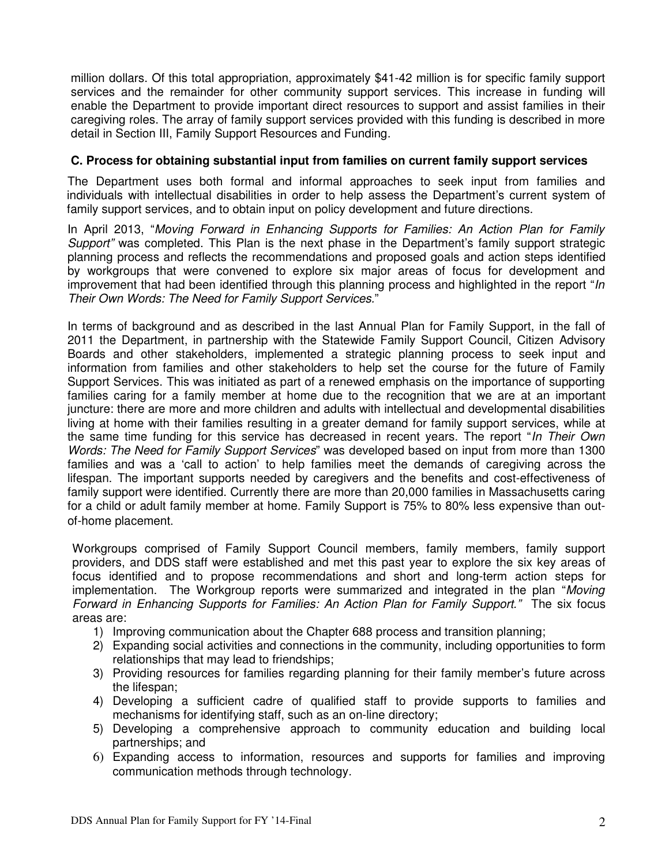million dollars. Of this total appropriation, approximately \$41-42 million is for specific family support services and the remainder for other community support services. This increase in funding will enable the Department to provide important direct resources to support and assist families in their caregiving roles. The array of family support services provided with this funding is described in more detail in Section III, Family Support Resources and Funding.

## **C. Process for obtaining substantial input from families on current family support services**

The Department uses both formal and informal approaches to seek input from families and individuals with intellectual disabilities in order to help assess the Department's current system of family support services, and to obtain input on policy development and future directions.

In April 2013, "Moving Forward in Enhancing Supports for Families: An Action Plan for Family Support" was completed. This Plan is the next phase in the Department's family support strategic planning process and reflects the recommendations and proposed goals and action steps identified by workgroups that were convened to explore six major areas of focus for development and improvement that had been identified through this planning process and highlighted in the report " $\ln$ Their Own Words: The Need for Family Support Services."

In terms of background and as described in the last Annual Plan for Family Support, in the fall of 2011 the Department, in partnership with the Statewide Family Support Council, Citizen Advisory Boards and other stakeholders, implemented a strategic planning process to seek input and information from families and other stakeholders to help set the course for the future of Family Support Services. This was initiated as part of a renewed emphasis on the importance of supporting families caring for a family member at home due to the recognition that we are at an important juncture: there are more and more children and adults with intellectual and developmental disabilities living at home with their families resulting in a greater demand for family support services, while at the same time funding for this service has decreased in recent years. The report "In Their Own Words: The Need for Family Support Services" was developed based on input from more than 1300 families and was a 'call to action' to help families meet the demands of caregiving across the lifespan. The important supports needed by caregivers and the benefits and cost-effectiveness of family support were identified. Currently there are more than 20,000 families in Massachusetts caring for a child or adult family member at home. Family Support is 75% to 80% less expensive than outof-home placement.

Workgroups comprised of Family Support Council members, family members, family support providers, and DDS staff were established and met this past year to explore the six key areas of focus identified and to propose recommendations and short and long-term action steps for implementation. The Workgroup reports were summarized and integrated in the plan "Moving" Forward in Enhancing Supports for Families: An Action Plan for Family Support." The six focus areas are:

- 1) Improving communication about the Chapter 688 process and transition planning;
- 2) Expanding social activities and connections in the community, including opportunities to form relationships that may lead to friendships;
- 3) Providing resources for families regarding planning for their family member's future across the lifespan;
- 4) Developing a sufficient cadre of qualified staff to provide supports to families and mechanisms for identifying staff, such as an on-line directory;
- 5) Developing a comprehensive approach to community education and building local partnerships; and
- 6) Expanding access to information, resources and supports for families and improving communication methods through technology.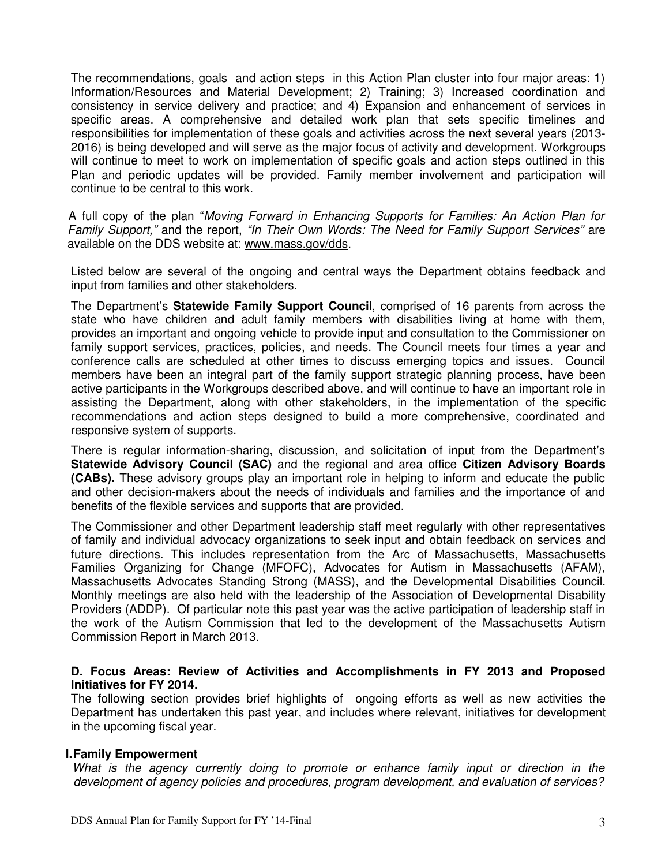The recommendations, goals and action steps in this Action Plan cluster into four major areas: 1) Information/Resources and Material Development; 2) Training; 3) Increased coordination and consistency in service delivery and practice; and 4) Expansion and enhancement of services in specific areas. A comprehensive and detailed work plan that sets specific timelines and responsibilities for implementation of these goals and activities across the next several years (2013- 2016) is being developed and will serve as the major focus of activity and development. Workgroups will continue to meet to work on implementation of specific goals and action steps outlined in this Plan and periodic updates will be provided. Family member involvement and participation will continue to be central to this work.

A full copy of the plan "Moving Forward in Enhancing Supports for Families: An Action Plan for Family Support," and the report, "In Their Own Words: The Need for Family Support Services" are available on the DDS website at: www.mass.gov/dds.

Listed below are several of the ongoing and central ways the Department obtains feedback and input from families and other stakeholders.

The Department's **Statewide Family Support Counci**l, comprised of 16 parents from across the state who have children and adult family members with disabilities living at home with them, provides an important and ongoing vehicle to provide input and consultation to the Commissioner on family support services, practices, policies, and needs. The Council meets four times a year and conference calls are scheduled at other times to discuss emerging topics and issues. Council members have been an integral part of the family support strategic planning process, have been active participants in the Workgroups described above, and will continue to have an important role in assisting the Department, along with other stakeholders, in the implementation of the specific recommendations and action steps designed to build a more comprehensive, coordinated and responsive system of supports.

There is regular information-sharing, discussion, and solicitation of input from the Department's **Statewide Advisory Council (SAC)** and the regional and area office **Citizen Advisory Boards (CABs).** These advisory groups play an important role in helping to inform and educate the public and other decision-makers about the needs of individuals and families and the importance of and benefits of the flexible services and supports that are provided.

The Commissioner and other Department leadership staff meet regularly with other representatives of family and individual advocacy organizations to seek input and obtain feedback on services and future directions. This includes representation from the Arc of Massachusetts, Massachusetts Families Organizing for Change (MFOFC), Advocates for Autism in Massachusetts (AFAM), Massachusetts Advocates Standing Strong (MASS), and the Developmental Disabilities Council. Monthly meetings are also held with the leadership of the Association of Developmental Disability Providers (ADDP). Of particular note this past year was the active participation of leadership staff in the work of the Autism Commission that led to the development of the Massachusetts Autism Commission Report in March 2013.

#### **D. Focus Areas: Review of Activities and Accomplishments in FY 2013 and Proposed Initiatives for FY 2014.**

The following section provides brief highlights of ongoing efforts as well as new activities the Department has undertaken this past year, and includes where relevant, initiatives for development in the upcoming fiscal year.

#### **I.Family Empowerment**

What is the agency currently doing to promote or enhance family input or direction in the development of agency policies and procedures, program development, and evaluation of services?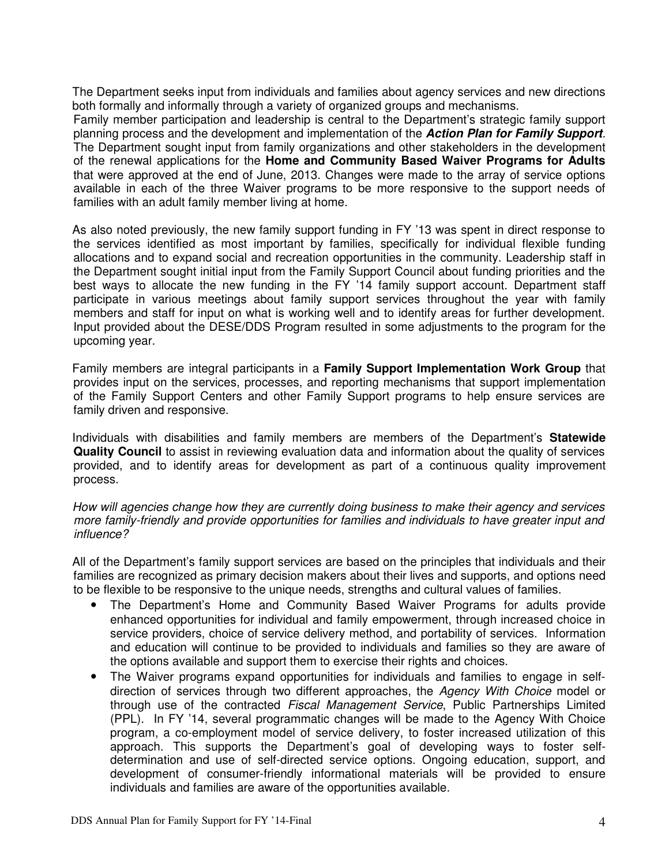The Department seeks input from individuals and families about agency services and new directions both formally and informally through a variety of organized groups and mechanisms.

Family member participation and leadership is central to the Department's strategic family support planning process and the development and implementation of the **Action Plan for Family Support**. The Department sought input from family organizations and other stakeholders in the development of the renewal applications for the **Home and Community Based Waiver Programs for Adults** that were approved at the end of June, 2013. Changes were made to the array of service options available in each of the three Waiver programs to be more responsive to the support needs of families with an adult family member living at home.

As also noted previously, the new family support funding in FY '13 was spent in direct response to the services identified as most important by families, specifically for individual flexible funding allocations and to expand social and recreation opportunities in the community. Leadership staff in the Department sought initial input from the Family Support Council about funding priorities and the best ways to allocate the new funding in the FY '14 family support account. Department staff participate in various meetings about family support services throughout the year with family members and staff for input on what is working well and to identify areas for further development. Input provided about the DESE/DDS Program resulted in some adjustments to the program for the upcoming year.

Family members are integral participants in a **Family Support Implementation Work Group** that provides input on the services, processes, and reporting mechanisms that support implementation of the Family Support Centers and other Family Support programs to help ensure services are family driven and responsive.

Individuals with disabilities and family members are members of the Department's **Statewide Quality Council** to assist in reviewing evaluation data and information about the quality of services provided, and to identify areas for development as part of a continuous quality improvement process.

How will agencies change how they are currently doing business to make their agency and services more family-friendly and provide opportunities for families and individuals to have greater input and influence?

All of the Department's family support services are based on the principles that individuals and their families are recognized as primary decision makers about their lives and supports, and options need to be flexible to be responsive to the unique needs, strengths and cultural values of families.

- The Department's Home and Community Based Waiver Programs for adults provide enhanced opportunities for individual and family empowerment, through increased choice in service providers, choice of service delivery method, and portability of services. Information and education will continue to be provided to individuals and families so they are aware of the options available and support them to exercise their rights and choices.
- The Waiver programs expand opportunities for individuals and families to engage in selfdirection of services through two different approaches, the Agency With Choice model or through use of the contracted Fiscal Management Service, Public Partnerships Limited (PPL). In FY '14, several programmatic changes will be made to the Agency With Choice program, a co-employment model of service delivery, to foster increased utilization of this approach. This supports the Department's goal of developing ways to foster selfdetermination and use of self-directed service options. Ongoing education, support, and development of consumer-friendly informational materials will be provided to ensure individuals and families are aware of the opportunities available.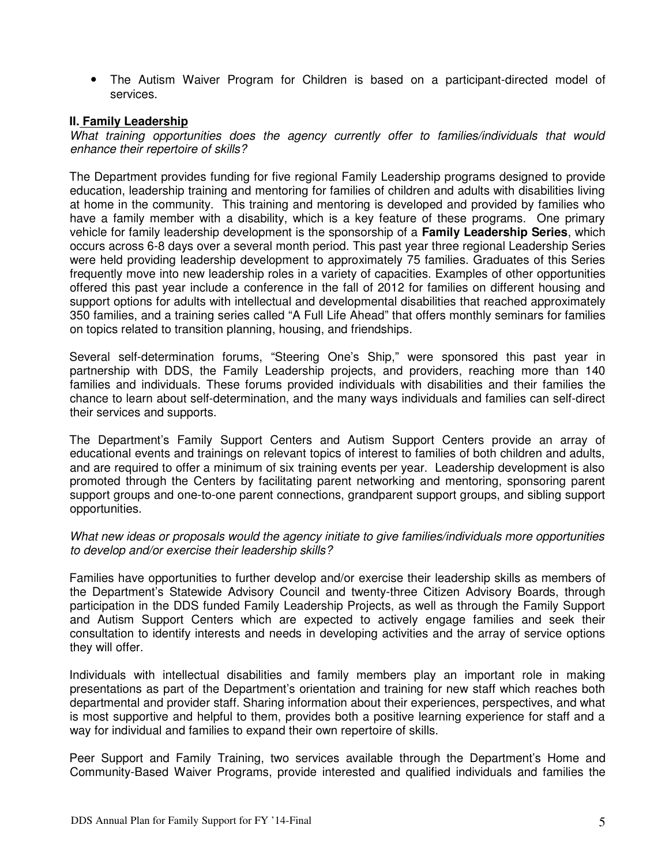• The Autism Waiver Program for Children is based on a participant-directed model of services.

## **II. Family Leadership**

What training opportunities does the agency currently offer to families/individuals that would enhance their repertoire of skills?

The Department provides funding for five regional Family Leadership programs designed to provide education, leadership training and mentoring for families of children and adults with disabilities living at home in the community. This training and mentoring is developed and provided by families who have a family member with a disability, which is a key feature of these programs. One primary vehicle for family leadership development is the sponsorship of a **Family Leadership Series**, which occurs across 6-8 days over a several month period. This past year three regional Leadership Series were held providing leadership development to approximately 75 families. Graduates of this Series frequently move into new leadership roles in a variety of capacities. Examples of other opportunities offered this past year include a conference in the fall of 2012 for families on different housing and support options for adults with intellectual and developmental disabilities that reached approximately 350 families, and a training series called "A Full Life Ahead" that offers monthly seminars for families on topics related to transition planning, housing, and friendships.

Several self-determination forums, "Steering One's Ship," were sponsored this past year in partnership with DDS, the Family Leadership projects, and providers, reaching more than 140 families and individuals. These forums provided individuals with disabilities and their families the chance to learn about self-determination, and the many ways individuals and families can self-direct their services and supports.

The Department's Family Support Centers and Autism Support Centers provide an array of educational events and trainings on relevant topics of interest to families of both children and adults, and are required to offer a minimum of six training events per year. Leadership development is also promoted through the Centers by facilitating parent networking and mentoring, sponsoring parent support groups and one-to-one parent connections, grandparent support groups, and sibling support opportunities.

#### What new ideas or proposals would the agency initiate to give families/individuals more opportunities to develop and/or exercise their leadership skills?

Families have opportunities to further develop and/or exercise their leadership skills as members of the Department's Statewide Advisory Council and twenty-three Citizen Advisory Boards, through participation in the DDS funded Family Leadership Projects, as well as through the Family Support and Autism Support Centers which are expected to actively engage families and seek their consultation to identify interests and needs in developing activities and the array of service options they will offer.

Individuals with intellectual disabilities and family members play an important role in making presentations as part of the Department's orientation and training for new staff which reaches both departmental and provider staff. Sharing information about their experiences, perspectives, and what is most supportive and helpful to them, provides both a positive learning experience for staff and a way for individual and families to expand their own repertoire of skills.

Peer Support and Family Training, two services available through the Department's Home and Community-Based Waiver Programs, provide interested and qualified individuals and families the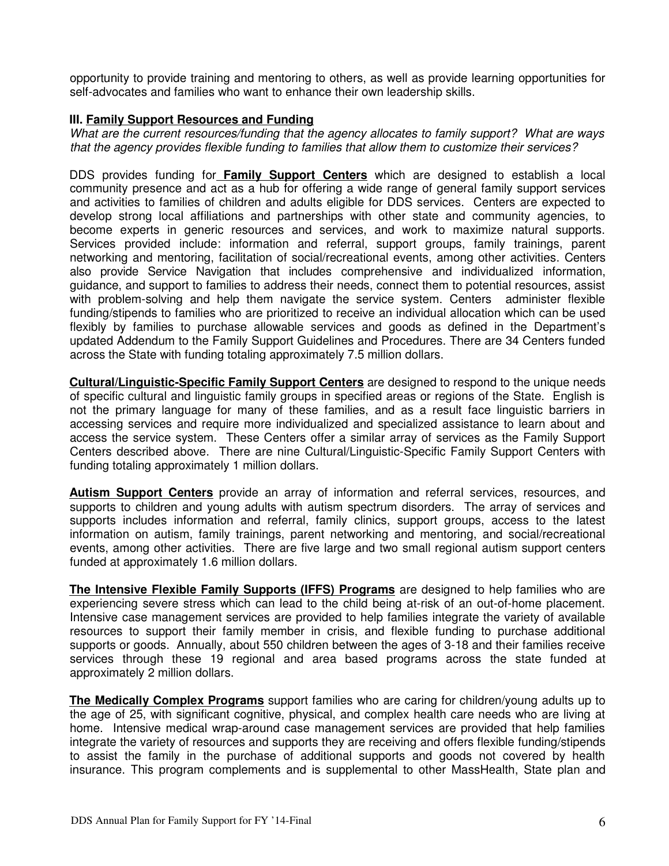opportunity to provide training and mentoring to others, as well as provide learning opportunities for self-advocates and families who want to enhance their own leadership skills.

## **III. Family Support Resources and Funding**

What are the current resources/funding that the agency allocates to family support? What are ways that the agency provides flexible funding to families that allow them to customize their services?

DDS provides funding for **Family Support Centers** which are designed to establish a local community presence and act as a hub for offering a wide range of general family support services and activities to families of children and adults eligible for DDS services. Centers are expected to develop strong local affiliations and partnerships with other state and community agencies, to become experts in generic resources and services, and work to maximize natural supports. Services provided include: information and referral, support groups, family trainings, parent networking and mentoring, facilitation of social/recreational events, among other activities. Centers also provide Service Navigation that includes comprehensive and individualized information, guidance, and support to families to address their needs, connect them to potential resources, assist with problem-solving and help them navigate the service system. Centers administer flexible funding/stipends to families who are prioritized to receive an individual allocation which can be used flexibly by families to purchase allowable services and goods as defined in the Department's updated Addendum to the Family Support Guidelines and Procedures. There are 34 Centers funded across the State with funding totaling approximately 7.5 million dollars.

**Cultural/Linguistic-Specific Family Support Centers** are designed to respond to the unique needs of specific cultural and linguistic family groups in specified areas or regions of the State. English is not the primary language for many of these families, and as a result face linguistic barriers in accessing services and require more individualized and specialized assistance to learn about and access the service system. These Centers offer a similar array of services as the Family Support Centers described above. There are nine Cultural/Linguistic-Specific Family Support Centers with funding totaling approximately 1 million dollars.

**Autism Support Centers** provide an array of information and referral services, resources, and supports to children and young adults with autism spectrum disorders. The array of services and supports includes information and referral, family clinics, support groups, access to the latest information on autism, family trainings, parent networking and mentoring, and social/recreational events, among other activities. There are five large and two small regional autism support centers funded at approximately 1.6 million dollars.

**The Intensive Flexible Family Supports (IFFS) Programs** are designed to help families who are experiencing severe stress which can lead to the child being at-risk of an out-of-home placement. Intensive case management services are provided to help families integrate the variety of available resources to support their family member in crisis, and flexible funding to purchase additional supports or goods. Annually, about 550 children between the ages of 3-18 and their families receive services through these 19 regional and area based programs across the state funded at approximately 2 million dollars.

**The Medically Complex Programs** support families who are caring for children/young adults up to the age of 25, with significant cognitive, physical, and complex health care needs who are living at home. Intensive medical wrap-around case management services are provided that help families integrate the variety of resources and supports they are receiving and offers flexible funding/stipends to assist the family in the purchase of additional supports and goods not covered by health insurance. This program complements and is supplemental to other MassHealth, State plan and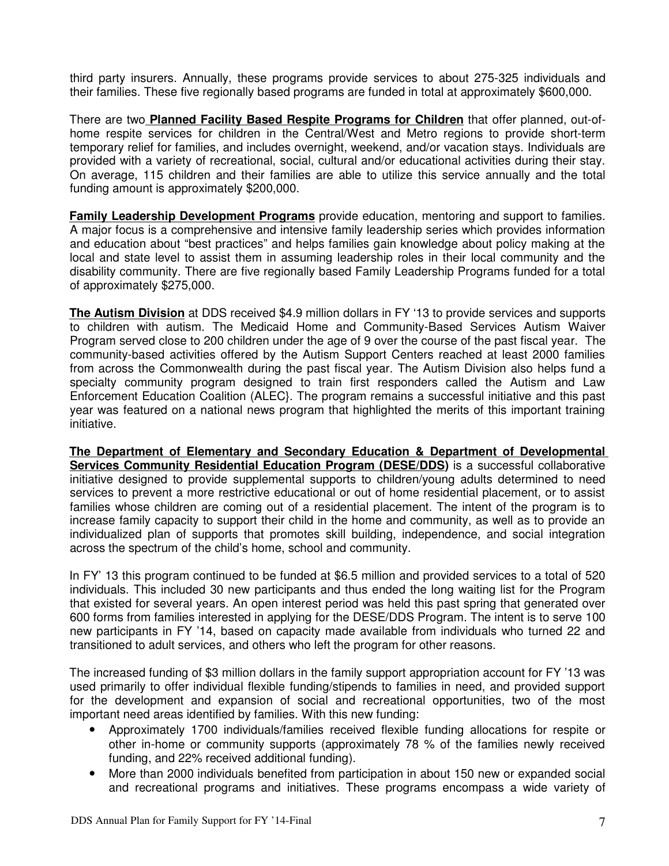third party insurers. Annually, these programs provide services to about 275-325 individuals and their families. These five regionally based programs are funded in total at approximately \$600,000.

There are two **Planned Facility Based Respite Programs for Children** that offer planned, out-ofhome respite services for children in the Central/West and Metro regions to provide short-term temporary relief for families, and includes overnight, weekend, and/or vacation stays. Individuals are provided with a variety of recreational, social, cultural and/or educational activities during their stay. On average, 115 children and their families are able to utilize this service annually and the total funding amount is approximately \$200,000.

**Family Leadership Development Programs** provide education, mentoring and support to families. A major focus is a comprehensive and intensive family leadership series which provides information and education about "best practices" and helps families gain knowledge about policy making at the local and state level to assist them in assuming leadership roles in their local community and the disability community. There are five regionally based Family Leadership Programs funded for a total of approximately \$275,000.

 **The Autism Division** at DDS received \$4.9 million dollars in FY '13 to provide services and supports to children with autism. The Medicaid Home and Community-Based Services Autism Waiver Program served close to 200 children under the age of 9 over the course of the past fiscal year. The community-based activities offered by the Autism Support Centers reached at least 2000 families from across the Commonwealth during the past fiscal year. The Autism Division also helps fund a specialty community program designed to train first responders called the Autism and Law Enforcement Education Coalition (ALEC}. The program remains a successful initiative and this past year was featured on a national news program that highlighted the merits of this important training initiative.

**The Department of Elementary and Secondary Education & Department of Developmental Services Community Residential Education Program (DESE/DDS)** is a successful collaborative initiative designed to provide supplemental supports to children/young adults determined to need services to prevent a more restrictive educational or out of home residential placement, or to assist families whose children are coming out of a residential placement. The intent of the program is to increase family capacity to support their child in the home and community, as well as to provide an individualized plan of supports that promotes skill building, independence, and social integration across the spectrum of the child's home, school and community.

In FY' 13 this program continued to be funded at \$6.5 million and provided services to a total of 520 individuals. This included 30 new participants and thus ended the long waiting list for the Program that existed for several years. An open interest period was held this past spring that generated over 600 forms from families interested in applying for the DESE/DDS Program. The intent is to serve 100 new participants in FY '14, based on capacity made available from individuals who turned 22 and transitioned to adult services, and others who left the program for other reasons.

The increased funding of \$3 million dollars in the family support appropriation account for FY '13 was used primarily to offer individual flexible funding/stipends to families in need, and provided support for the development and expansion of social and recreational opportunities, two of the most important need areas identified by families. With this new funding:

- Approximately 1700 individuals/families received flexible funding allocations for respite or other in-home or community supports (approximately 78 % of the families newly received funding, and 22% received additional funding).
- More than 2000 individuals benefited from participation in about 150 new or expanded social and recreational programs and initiatives. These programs encompass a wide variety of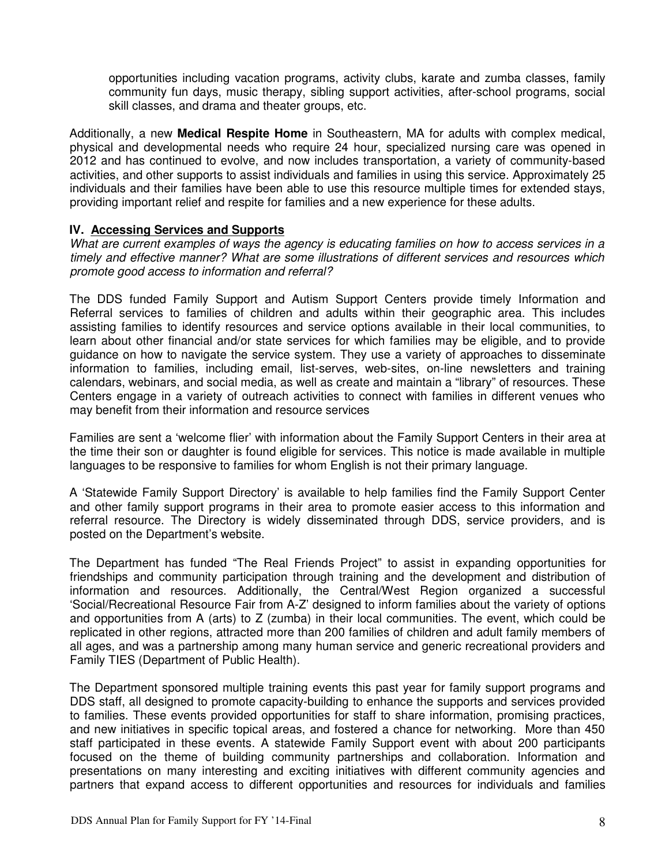opportunities including vacation programs, activity clubs, karate and zumba classes, family community fun days, music therapy, sibling support activities, after-school programs, social skill classes, and drama and theater groups, etc.

Additionally, a new **Medical Respite Home** in Southeastern, MA for adults with complex medical, physical and developmental needs who require 24 hour, specialized nursing care was opened in 2012 and has continued to evolve, and now includes transportation, a variety of community-based activities, and other supports to assist individuals and families in using this service. Approximately 25 individuals and their families have been able to use this resource multiple times for extended stays, providing important relief and respite for families and a new experience for these adults.

## **IV. Accessing Services and Supports**

What are current examples of ways the agency is educating families on how to access services in a timely and effective manner? What are some illustrations of different services and resources which promote good access to information and referral?

The DDS funded Family Support and Autism Support Centers provide timely Information and Referral services to families of children and adults within their geographic area. This includes assisting families to identify resources and service options available in their local communities, to learn about other financial and/or state services for which families may be eligible, and to provide guidance on how to navigate the service system. They use a variety of approaches to disseminate information to families, including email, list-serves, web-sites, on-line newsletters and training calendars, webinars, and social media, as well as create and maintain a "library" of resources. These Centers engage in a variety of outreach activities to connect with families in different venues who may benefit from their information and resource services

Families are sent a 'welcome flier' with information about the Family Support Centers in their area at the time their son or daughter is found eligible for services. This notice is made available in multiple languages to be responsive to families for whom English is not their primary language.

A 'Statewide Family Support Directory' is available to help families find the Family Support Center and other family support programs in their area to promote easier access to this information and referral resource. The Directory is widely disseminated through DDS, service providers, and is posted on the Department's website.

The Department has funded "The Real Friends Project" to assist in expanding opportunities for friendships and community participation through training and the development and distribution of information and resources. Additionally, the Central/West Region organized a successful 'Social/Recreational Resource Fair from A-Z' designed to inform families about the variety of options and opportunities from A (arts) to Z (zumba) in their local communities. The event, which could be replicated in other regions, attracted more than 200 families of children and adult family members of all ages, and was a partnership among many human service and generic recreational providers and Family TIES (Department of Public Health).

The Department sponsored multiple training events this past year for family support programs and DDS staff, all designed to promote capacity-building to enhance the supports and services provided to families. These events provided opportunities for staff to share information, promising practices, and new initiatives in specific topical areas, and fostered a chance for networking. More than 450 staff participated in these events. A statewide Family Support event with about 200 participants focused on the theme of building community partnerships and collaboration. Information and presentations on many interesting and exciting initiatives with different community agencies and partners that expand access to different opportunities and resources for individuals and families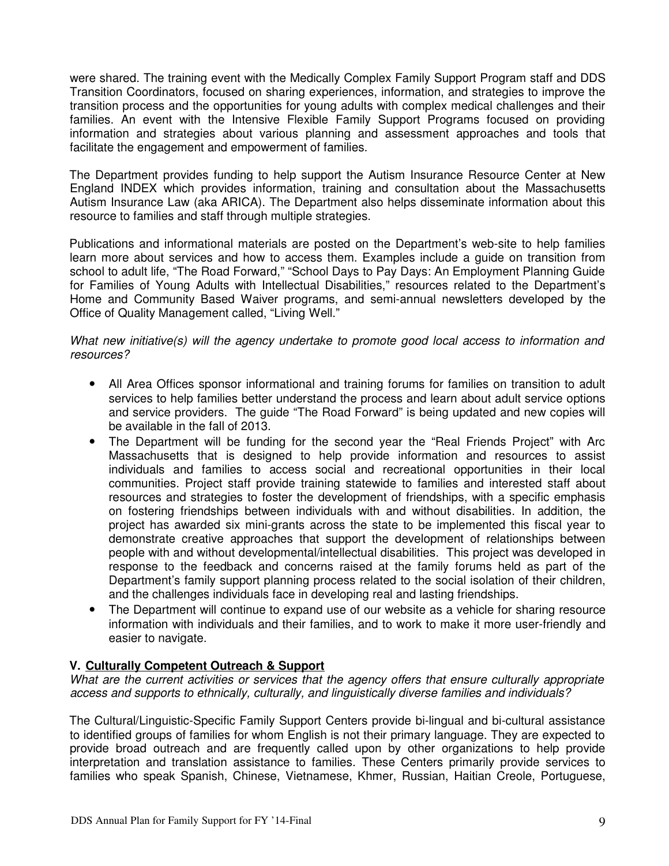were shared. The training event with the Medically Complex Family Support Program staff and DDS Transition Coordinators, focused on sharing experiences, information, and strategies to improve the transition process and the opportunities for young adults with complex medical challenges and their families. An event with the Intensive Flexible Family Support Programs focused on providing information and strategies about various planning and assessment approaches and tools that facilitate the engagement and empowerment of families.

The Department provides funding to help support the Autism Insurance Resource Center at New England INDEX which provides information, training and consultation about the Massachusetts Autism Insurance Law (aka ARICA). The Department also helps disseminate information about this resource to families and staff through multiple strategies.

Publications and informational materials are posted on the Department's web-site to help families learn more about services and how to access them. Examples include a guide on transition from school to adult life, "The Road Forward," "School Days to Pay Days: An Employment Planning Guide for Families of Young Adults with Intellectual Disabilities," resources related to the Department's Home and Community Based Waiver programs, and semi-annual newsletters developed by the Office of Quality Management called, "Living Well."

### What new initiative(s) will the agency undertake to promote good local access to information and resources?

- All Area Offices sponsor informational and training forums for families on transition to adult services to help families better understand the process and learn about adult service options and service providers. The guide "The Road Forward" is being updated and new copies will be available in the fall of 2013.
- The Department will be funding for the second year the "Real Friends Project" with Arc Massachusetts that is designed to help provide information and resources to assist individuals and families to access social and recreational opportunities in their local communities. Project staff provide training statewide to families and interested staff about resources and strategies to foster the development of friendships, with a specific emphasis on fostering friendships between individuals with and without disabilities. In addition, the project has awarded six mini-grants across the state to be implemented this fiscal year to demonstrate creative approaches that support the development of relationships between people with and without developmental/intellectual disabilities.This project was developed in response to the feedback and concerns raised at the family forums held as part of the Department's family support planning process related to the social isolation of their children, and the challenges individuals face in developing real and lasting friendships.
- The Department will continue to expand use of our website as a vehicle for sharing resource information with individuals and their families, and to work to make it more user-friendly and easier to navigate.

## **V. Culturally Competent Outreach & Support**

What are the current activities or services that the agency offers that ensure culturally appropriate access and supports to ethnically, culturally, and linguistically diverse families and individuals?

The Cultural/Linguistic-Specific Family Support Centers provide bi-lingual and bi-cultural assistance to identified groups of families for whom English is not their primary language. They are expected to provide broad outreach and are frequently called upon by other organizations to help provide interpretation and translation assistance to families. These Centers primarily provide services to families who speak Spanish, Chinese, Vietnamese, Khmer, Russian, Haitian Creole, Portuguese,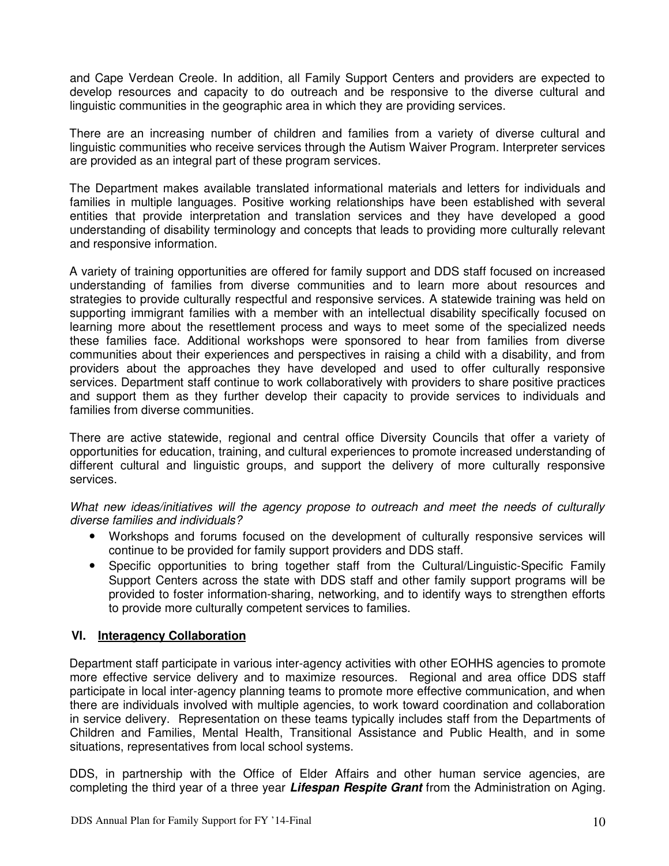and Cape Verdean Creole. In addition, all Family Support Centers and providers are expected to develop resources and capacity to do outreach and be responsive to the diverse cultural and linguistic communities in the geographic area in which they are providing services.

There are an increasing number of children and families from a variety of diverse cultural and linguistic communities who receive services through the Autism Waiver Program. Interpreter services are provided as an integral part of these program services.

The Department makes available translated informational materials and letters for individuals and families in multiple languages. Positive working relationships have been established with several entities that provide interpretation and translation services and they have developed a good understanding of disability terminology and concepts that leads to providing more culturally relevant and responsive information.

A variety of training opportunities are offered for family support and DDS staff focused on increased understanding of families from diverse communities and to learn more about resources and strategies to provide culturally respectful and responsive services. A statewide training was held on supporting immigrant families with a member with an intellectual disability specifically focused on learning more about the resettlement process and ways to meet some of the specialized needs these families face. Additional workshops were sponsored to hear from families from diverse communities about their experiences and perspectives in raising a child with a disability, and from providers about the approaches they have developed and used to offer culturally responsive services. Department staff continue to work collaboratively with providers to share positive practices and support them as they further develop their capacity to provide services to individuals and families from diverse communities.

There are active statewide, regional and central office Diversity Councils that offer a variety of opportunities for education, training, and cultural experiences to promote increased understanding of different cultural and linguistic groups, and support the delivery of more culturally responsive services.

What new ideas/initiatives will the agency propose to outreach and meet the needs of culturally diverse families and individuals?

- Workshops and forums focused on the development of culturally responsive services will continue to be provided for family support providers and DDS staff.
- Specific opportunities to bring together staff from the Cultural/Linguistic-Specific Family Support Centers across the state with DDS staff and other family support programs will be provided to foster information-sharing, networking, and to identify ways to strengthen efforts to provide more culturally competent services to families.

## **VI. Interagency Collaboration**

Department staff participate in various inter-agency activities with other EOHHS agencies to promote more effective service delivery and to maximize resources. Regional and area office DDS staff participate in local inter-agency planning teams to promote more effective communication, and when there are individuals involved with multiple agencies, to work toward coordination and collaboration in service delivery. Representation on these teams typically includes staff from the Departments of Children and Families, Mental Health, Transitional Assistance and Public Health, and in some situations, representatives from local school systems.

DDS, in partnership with the Office of Elder Affairs and other human service agencies, are completing the third year of a three year **Lifespan Respite Grant** from the Administration on Aging.